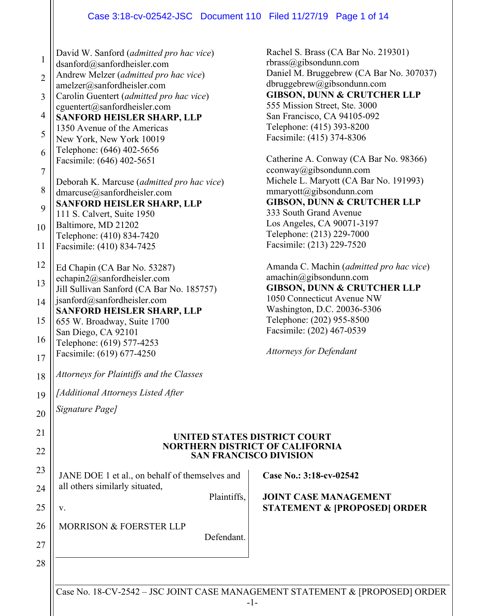#### Case 3:18-cv-02542-JSC Document 110 Filed 11/27/19 Page 1 of 14

1 2 3 4 5 6 7 8 9 10 11 12 13 14 15 16 17 18 19 20 21 22 23 24 25 26 27 28 David W. Sanford (*admitted pro hac vice*) dsanford@sanfordheisler.com Andrew Melzer (*admitted pro hac vice*) amelzer@sanfordheisler.com Carolin Guentert (*admitted pro hac vice*) cguentert@sanfordheisler.com **SANFORD HEISLER SHARP, LLP**  1350 Avenue of the Americas New York, New York 10019 Telephone: (646) 402-5656 Facsimile: (646) 402-5651 Deborah K. Marcuse (*admitted pro hac vice*) dmarcuse@sanfordheisler.com **SANFORD HEISLER SHARP, LLP**  111 S. Calvert, Suite 1950 Baltimore, MD 21202 Telephone: (410) 834-7420 Facsimile: (410) 834-7425 Ed Chapin (CA Bar No. 53287) echapin2@sanfordheisler.com Jill Sullivan Sanford (CA Bar No. 185757) jsanford@sanfordheisler.com **SANFORD HEISLER SHARP, LLP**  655 W. Broadway, Suite 1700 San Diego, CA 92101 Telephone: (619) 577-4253 Facsimile: (619) 677-4250 *Attorneys for Plaintiffs and the Classes [Additional Attorneys Listed After Signature Page]* **UNITED STATES DISTRICT COURT NORTHERN DISTRICT OF CALIFORNIA SAN FRANCISCO DIVISION**  JANE DOE 1 et al., on behalf of themselves and all others similarly situated, Plaintiffs, v. MORRISON & FOERSTER LLP Defendant. **Case No.: 3:18-cv-02542 JOINT CASE MANAGEMENT STATEMENT & [PROPOSED] ORDER**

Rachel S. Brass (CA Bar No. 219301) rbrass@gibsondunn.com Daniel M. Bruggebrew (CA Bar No. 307037) dbruggebrew@gibsondunn.com **GIBSON, DUNN & CRUTCHER LLP**  555 Mission Street, Ste. 3000 San Francisco, CA 94105-092 Telephone: (415) 393-8200 Facsimile: (415) 374-8306

Catherine A. Conway (CA Bar No. 98366) cconway@gibsondunn.com Michele L. Maryott (CA Bar No. 191993) mmaryott@gibsondunn.com **GIBSON, DUNN & CRUTCHER LLP**  333 South Grand Avenue Los Angeles, CA 90071-3197 Telephone: (213) 229-7000 Facsimile: (213) 229-7520

Amanda C. Machin (*admitted pro hac vice*) amachin@gibsondunn.com **GIBSON, DUNN & CRUTCHER LLP**  1050 Connecticut Avenue NW Washington, D.C. 20036-5306 Telephone: (202) 955-8500 Facsimile: (202) 467-0539

*Attorneys for Defendant* 

Case No. 18-CV-2542 – JSC JOINT CASE MANAGEMENT STATEMENT & [PROPOSED] ORDER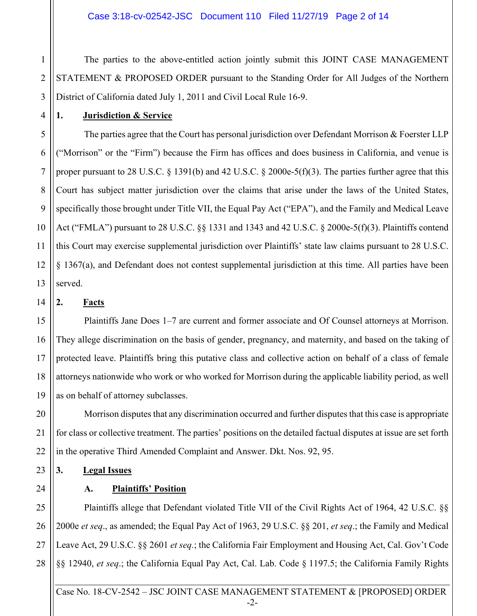1 2 3 The parties to the above-entitled action jointly submit this JOINT CASE MANAGEMENT STATEMENT & PROPOSED ORDER pursuant to the Standing Order for All Judges of the Northern District of California dated July 1, 2011 and Civil Local Rule 16-9.

#### **1. Jurisdiction & Service**

12 The parties agree that the Court has personal jurisdiction over Defendant Morrison & Foerster LLP ("Morrison" or the "Firm") because the Firm has offices and does business in California, and venue is proper pursuant to 28 U.S.C.  $\S$  1391(b) and 42 U.S.C.  $\S$  2000e-5(f)(3). The parties further agree that this Court has subject matter jurisdiction over the claims that arise under the laws of the United States, specifically those brought under Title VII, the Equal Pay Act ("EPA"), and the Family and Medical Leave Act ("FMLA") pursuant to 28 U.S.C. §§ 1331 and 1343 and 42 U.S.C. § 2000e-5(f)(3). Plaintiffs contend this Court may exercise supplemental jurisdiction over Plaintiffs' state law claims pursuant to 28 U.S.C. § 1367(a), and Defendant does not contest supplemental jurisdiction at this time. All parties have been served.

14 **2. Facts** 

4

5

6

7

8

9

10

11

13

15 16 17 18 19 Plaintiffs Jane Does 1–7 are current and former associate and Of Counsel attorneys at Morrison. They allege discrimination on the basis of gender, pregnancy, and maternity, and based on the taking of protected leave. Plaintiffs bring this putative class and collective action on behalf of a class of female attorneys nationwide who work or who worked for Morrison during the applicable liability period, as well as on behalf of attorney subclasses.

20 21 22 Morrison disputes that any discrimination occurred and further disputes that this case is appropriate for class or collective treatment. The parties' positions on the detailed factual disputes at issue are set forth in the operative Third Amended Complaint and Answer. Dkt. Nos. 92, 95.

23 **3. Legal Issues** 

24

#### **A. Plaintiffs' Position**

25 26 27 28 Plaintiffs allege that Defendant violated Title VII of the Civil Rights Act of 1964, 42 U.S.C. §§ 2000e *et seq*., as amended; the Equal Pay Act of 1963, 29 U.S.C. §§ 201, *et seq*.; the Family and Medical Leave Act, 29 U.S.C. §§ 2601 *et seq.*; the California Fair Employment and Housing Act, Cal. Gov't Code §§ 12940, *et seq*.; the California Equal Pay Act, Cal. Lab. Code § 1197.5; the California Family Rights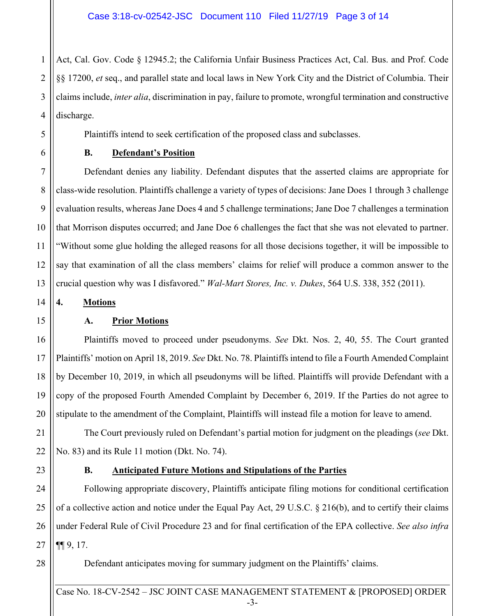1 2 3 4 Act, Cal. Gov. Code § 12945.2; the California Unfair Business Practices Act, Cal. Bus. and Prof. Code §§ 17200, *et* seq., and parallel state and local laws in New York City and the District of Columbia. Their claims include, *inter alia*, discrimination in pay, failure to promote, wrongful termination and constructive discharge.

Plaintiffs intend to seek certification of the proposed class and subclasses.

5 6 7

8

9

10

11

12

13

#### **B. Defendant's Position**

 Defendant denies any liability. Defendant disputes that the asserted claims are appropriate for class-wide resolution. Plaintiffs challenge a variety of types of decisions: Jane Does 1 through 3 challenge evaluation results, whereas Jane Does 4 and 5 challenge terminations; Jane Doe 7 challenges a termination that Morrison disputes occurred; and Jane Doe 6 challenges the fact that she was not elevated to partner. "Without some glue holding the alleged reasons for all those decisions together, it will be impossible to say that examination of all the class members' claims for relief will produce a common answer to the crucial question why was I disfavored." *Wal-Mart Stores, Inc. v. Dukes*, 564 U.S. 338, 352 (2011).

**4. Motions** 

14 15

17

19

20

21

22

#### **A. Prior Motions**

16 18 Plaintiffs moved to proceed under pseudonyms. *See* Dkt. Nos. 2, 40, 55. The Court granted Plaintiffs' motion on April 18, 2019. *See* Dkt. No. 78. Plaintiffs intend to file a Fourth Amended Complaint by December 10, 2019, in which all pseudonyms will be lifted. Plaintiffs will provide Defendant with a copy of the proposed Fourth Amended Complaint by December 6, 2019. If the Parties do not agree to stipulate to the amendment of the Complaint, Plaintiffs will instead file a motion for leave to amend.

The Court previously ruled on Defendant's partial motion for judgment on the pleadings (*see* Dkt. No. 83) and its Rule 11 motion (Dkt. No. 74).

23

#### **B. Anticipated Future Motions and Stipulations of the Parties**

24 25 26 27 Following appropriate discovery, Plaintiffs anticipate filing motions for conditional certification of a collective action and notice under the Equal Pay Act, 29 U.S.C. § 216(b), and to certify their claims under Federal Rule of Civil Procedure 23 and for final certification of the EPA collective. *See also infra* ¶¶ 9, 17.

28

Defendant anticipates moving for summary judgment on the Plaintiffs' claims.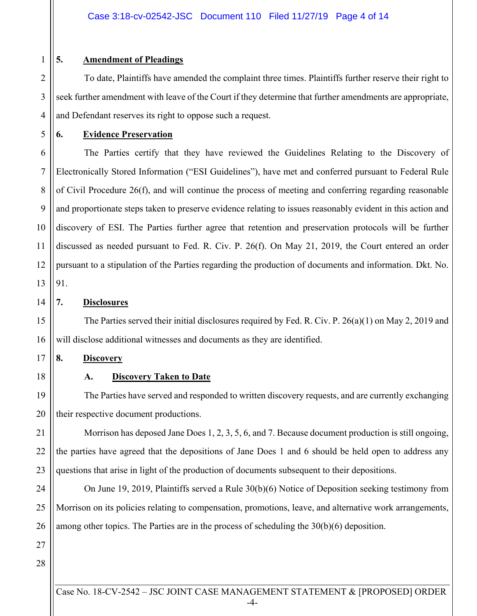3

4

5

15

16

17

18

19

20

## **5. Amendment of Pleadings**

 To date, Plaintiffs have amended the complaint three times. Plaintiffs further reserve their right to seek further amendment with leave of the Court if they determine that further amendments are appropriate, and Defendant reserves its right to oppose such a request.

**6. Evidence Preservation** 

6 7 8 9 10 11 12 13 The Parties certify that they have reviewed the Guidelines Relating to the Discovery of Electronically Stored Information ("ESI Guidelines"), have met and conferred pursuant to Federal Rule of Civil Procedure 26(f), and will continue the process of meeting and conferring regarding reasonable and proportionate steps taken to preserve evidence relating to issues reasonably evident in this action and discovery of ESI. The Parties further agree that retention and preservation protocols will be further discussed as needed pursuant to Fed. R. Civ. P. 26(f). On May 21, 2019, the Court entered an order pursuant to a stipulation of the Parties regarding the production of documents and information. Dkt. No. 91.

14 **7. Disclosures** 

> The Parties served their initial disclosures required by Fed. R. Civ. P. 26(a)(1) on May 2, 2019 and will disclose additional witnesses and documents as they are identified.

**8. Discovery** 

**A. Discovery Taken to Date** 

 The Parties have served and responded to written discovery requests, and are currently exchanging their respective document productions.

21 22 23 Morrison has deposed Jane Does 1, 2, 3, 5, 6, and 7. Because document production is still ongoing, the parties have agreed that the depositions of Jane Does 1 and 6 should be held open to address any questions that arise in light of the production of documents subsequent to their depositions.

24 25 26 On June 19, 2019, Plaintiffs served a Rule 30(b)(6) Notice of Deposition seeking testimony from Morrison on its policies relating to compensation, promotions, leave, and alternative work arrangements, among other topics. The Parties are in the process of scheduling the 30(b)(6) deposition.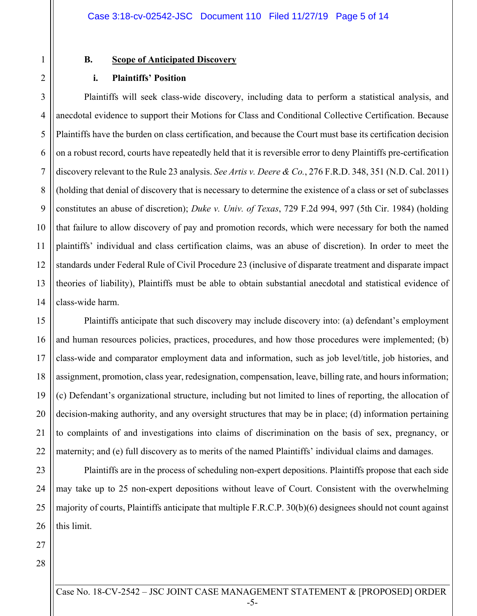#### **B. Scope of Anticipated Discovery**

#### **i. Plaintiffs' Position**

5 6 7 8 9 10 11 12 13 14 Plaintiffs will seek class-wide discovery, including data to perform a statistical analysis, and anecdotal evidence to support their Motions for Class and Conditional Collective Certification. Because Plaintiffs have the burden on class certification, and because the Court must base its certification decision on a robust record, courts have repeatedly held that it is reversible error to deny Plaintiffs pre-certification discovery relevant to the Rule 23 analysis. *See Artis v. Deere & Co.*, 276 F.R.D. 348, 351 (N.D. Cal. 2011) (holding that denial of discovery that is necessary to determine the existence of a class or set of subclasses constitutes an abuse of discretion); *Duke v. Univ. of Texas*, 729 F.2d 994, 997 (5th Cir. 1984) (holding that failure to allow discovery of pay and promotion records, which were necessary for both the named plaintiffs' individual and class certification claims, was an abuse of discretion). In order to meet the standards under Federal Rule of Civil Procedure 23 (inclusive of disparate treatment and disparate impact theories of liability), Plaintiffs must be able to obtain substantial anecdotal and statistical evidence of class-wide harm.

15 16 17 18 19 20 21 22 Plaintiffs anticipate that such discovery may include discovery into: (a) defendant's employment and human resources policies, practices, procedures, and how those procedures were implemented; (b) class-wide and comparator employment data and information, such as job level/title, job histories, and assignment, promotion, class year, redesignation, compensation, leave, billing rate, and hours information; (c) Defendant's organizational structure, including but not limited to lines of reporting, the allocation of decision-making authority, and any oversight structures that may be in place; (d) information pertaining to complaints of and investigations into claims of discrimination on the basis of sex, pregnancy, or maternity; and (e) full discovery as to merits of the named Plaintiffs' individual claims and damages.

23 24 25 26 Plaintiffs are in the process of scheduling non-expert depositions. Plaintiffs propose that each side may take up to 25 non-expert depositions without leave of Court. Consistent with the overwhelming majority of courts, Plaintiffs anticipate that multiple F.R.C.P. 30(b)(6) designees should not count against this limit.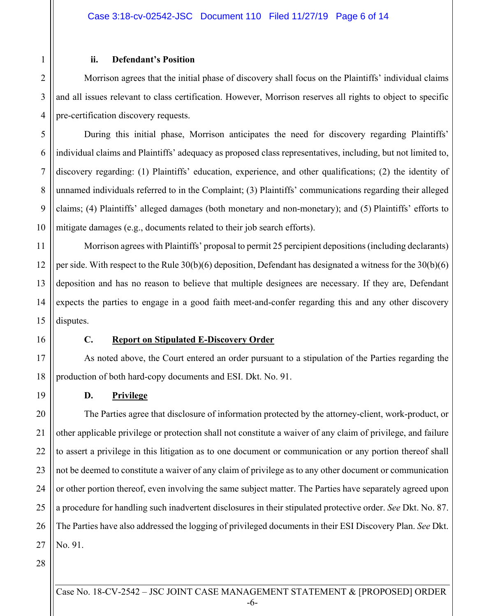#### **ii. Defendant's Position**

Morrison agrees that the initial phase of discovery shall focus on the Plaintiffs' individual claims and all issues relevant to class certification. However, Morrison reserves all rights to object to specific pre-certification discovery requests.

During this initial phase, Morrison anticipates the need for discovery regarding Plaintiffs' individual claims and Plaintiffs' adequacy as proposed class representatives, including, but not limited to, discovery regarding: (1) Plaintiffs' education, experience, and other qualifications; (2) the identity of unnamed individuals referred to in the Complaint; (3) Plaintiffs' communications regarding their alleged claims; (4) Plaintiffs' alleged damages (both monetary and non-monetary); and (5) Plaintiffs' efforts to mitigate damages (e.g., documents related to their job search efforts).

12 13 14 15 Morrison agrees with Plaintiffs' proposal to permit 25 percipient depositions (including declarants) per side. With respect to the Rule 30(b)(6) deposition, Defendant has designated a witness for the 30(b)(6) deposition and has no reason to believe that multiple designees are necessary. If they are, Defendant expects the parties to engage in a good faith meet-and-confer regarding this and any other discovery disputes.

1

2

3

4

5

6

7

8

9

10

11

16

19

#### **C. Report on Stipulated E-Discovery Order**

17 18 As noted above, the Court entered an order pursuant to a stipulation of the Parties regarding the production of both hard-copy documents and ESI. Dkt. No. 91.

#### **D. Privilege**

20 21 22 23 24 25 26 27 The Parties agree that disclosure of information protected by the attorney-client, work-product, or other applicable privilege or protection shall not constitute a waiver of any claim of privilege, and failure to assert a privilege in this litigation as to one document or communication or any portion thereof shall not be deemed to constitute a waiver of any claim of privilege as to any other document or communication or other portion thereof, even involving the same subject matter. The Parties have separately agreed upon a procedure for handling such inadvertent disclosures in their stipulated protective order. *See* Dkt. No. 87. The Parties have also addressed the logging of privileged documents in their ESI Discovery Plan. *See* Dkt. No. 91.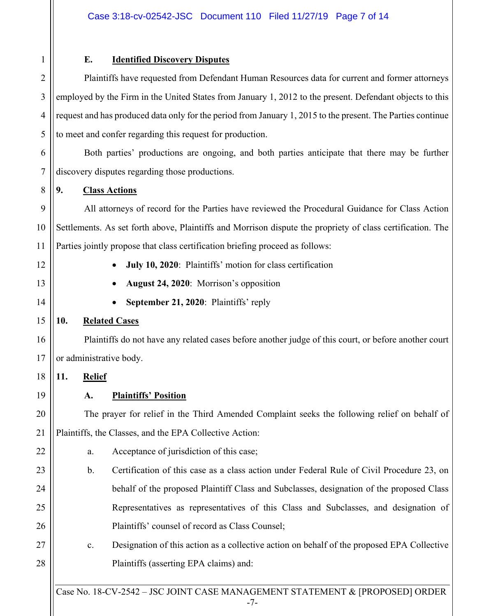4

5

8

9

10

11

## **E. Identified Discovery Disputes**

 Plaintiffs have requested from Defendant Human Resources data for current and former attorneys employed by the Firm in the United States from January 1, 2012 to the present. Defendant objects to this request and has produced data only for the period from January 1, 2015 to the present. The Parties continue to meet and confer regarding this request for production.

6 7 Both parties' productions are ongoing, and both parties anticipate that there may be further discovery disputes regarding those productions.

### **9. Class Actions**

 All attorneys of record for the Parties have reviewed the Procedural Guidance for Class Action Settlements. As set forth above, Plaintiffs and Morrison dispute the propriety of class certification. The Parties jointly propose that class certification briefing proceed as follows:

19

20

21

22

## **July 10, 2020**: Plaintiffs' motion for class certification

- **August 24, 2020**: Morrison's opposition
- **September 21, 2020**: Plaintiffs' reply

## **10. Related Cases**

 Plaintiffs do not have any related cases before another judge of this court, or before another court or administrative body.

18 **11. Relief** 

## **A. Plaintiffs' Position**

 The prayer for relief in the Third Amended Complaint seeks the following relief on behalf of Plaintiffs, the Classes, and the EPA Collective Action:

- a. Acceptance of jurisdiction of this case;
- 23 24 25 26 b. Certification of this case as a class action under Federal Rule of Civil Procedure 23, on behalf of the proposed Plaintiff Class and Subclasses, designation of the proposed Class Representatives as representatives of this Class and Subclasses, and designation of Plaintiffs' counsel of record as Class Counsel;
- 27 28 c. Designation of this action as a collective action on behalf of the proposed EPA Collective Plaintiffs (asserting EPA claims) and: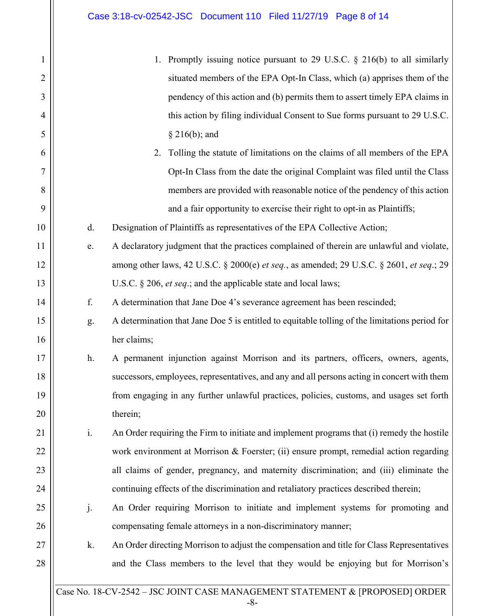2

3

4

5

6

7

8

9

10

11

12

13

14

15

16

17

18

19

20

21

22

23

24

25

26

27

- 1. Promptly issuing notice pursuant to 29 U.S.C. § 216(b) to all similarly situated members of the EPA Opt-In Class, which (a) apprises them of the pendency of this action and (b) permits them to assert timely EPA claims in this action by filing individual Consent to Sue forms pursuant to 29 U.S.C. § 216(b); and
- 2. Tolling the statute of limitations on the claims of all members of the EPA Opt-In Class from the date the original Complaint was filed until the Class members are provided with reasonable notice of the pendency of this action and a fair opportunity to exercise their right to opt-in as Plaintiffs;
- d. Designation of Plaintiffs as representatives of the EPA Collective Action;
	- e. A declaratory judgment that the practices complained of therein are unlawful and violate, among other laws, 42 U.S.C. § 2000(e) *et seq.*, as amended; 29 U.S.C. § 2601, *et seq*.; 29 U.S.C. § 206, *et seq*.; and the applicable state and local laws;
	- f. A determination that Jane Doe 4's severance agreement has been rescinded;
	- g. A determination that Jane Doe 5 is entitled to equitable tolling of the limitations period for her claims;
- h. A permanent injunction against Morrison and its partners, officers, owners, agents, successors, employees, representatives, and any and all persons acting in concert with them from engaging in any further unlawful practices, policies, customs, and usages set forth therein;
- i. An Order requiring the Firm to initiate and implement programs that (i) remedy the hostile work environment at Morrison & Foerster; (ii) ensure prompt, remedial action regarding all claims of gender, pregnancy, and maternity discrimination; and (iii) eliminate the continuing effects of the discrimination and retaliatory practices described therein;
	- j. An Order requiring Morrison to initiate and implement systems for promoting and compensating female attorneys in a non-discriminatory manner;
		- k. An Order directing Morrison to adjust the compensation and title for Class Representatives and the Class members to the level that they would be enjoying but for Morrison's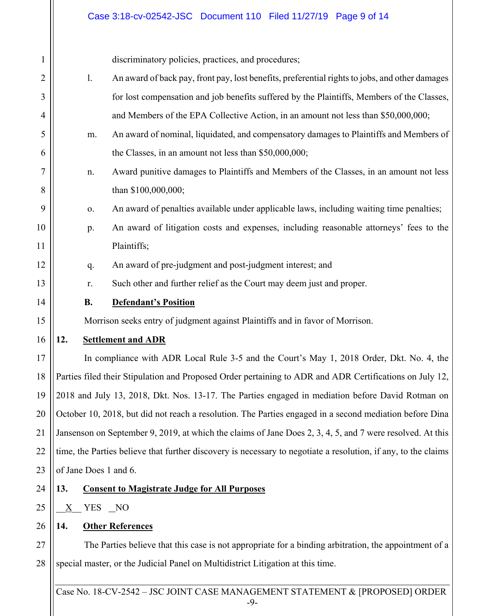# Case 3:18-cv-02542-JSC Document 110 Filed 11/27/19 Page 9 of 14

| $\mathbf{1}$   |                                                                                                         | discriminatory policies, practices, and procedures;                                                            |  |
|----------------|---------------------------------------------------------------------------------------------------------|----------------------------------------------------------------------------------------------------------------|--|
| $\overline{2}$ | 1.                                                                                                      | An award of back pay, front pay, lost benefits, preferential rights to jobs, and other damages                 |  |
| 3              |                                                                                                         | for lost compensation and job benefits suffered by the Plaintiffs, Members of the Classes,                     |  |
| 4              |                                                                                                         | and Members of the EPA Collective Action, in an amount not less than \$50,000,000;                             |  |
| 5              | m.                                                                                                      | An award of nominal, liquidated, and compensatory damages to Plaintiffs and Members of                         |  |
| 6              |                                                                                                         | the Classes, in an amount not less than \$50,000,000;                                                          |  |
| 7              | n.                                                                                                      | Award punitive damages to Plaintiffs and Members of the Classes, in an amount not less                         |  |
| 8              |                                                                                                         | than \$100,000,000;                                                                                            |  |
| 9              | 0.                                                                                                      | An award of penalties available under applicable laws, including waiting time penalties;                       |  |
| 10             | p.                                                                                                      | An award of litigation costs and expenses, including reasonable attorneys' fees to the                         |  |
| 11             |                                                                                                         | Plaintiffs;                                                                                                    |  |
| 12             | q.                                                                                                      | An award of pre-judgment and post-judgment interest; and                                                       |  |
| 13             | r.                                                                                                      | Such other and further relief as the Court may deem just and proper.                                           |  |
| 14             | <b>B.</b>                                                                                               | <b>Defendant's Position</b>                                                                                    |  |
| 15             |                                                                                                         | Morrison seeks entry of judgment against Plaintiffs and in favor of Morrison.                                  |  |
| 16             | 12.                                                                                                     | <b>Settlement and ADR</b>                                                                                      |  |
| 17             |                                                                                                         | In compliance with ADR Local Rule 3-5 and the Court's May 1, 2018 Order, Dkt. No. 4, the                       |  |
| 18             | Parties filed their Stipulation and Proposed Order pertaining to ADR and ADR Certifications on July 12, |                                                                                                                |  |
| 19             | 2018 and July 13, 2018, Dkt. Nos. 13-17. The Parties engaged in mediation before David Rotman on        |                                                                                                                |  |
| 20             |                                                                                                         | October 10, 2018, but did not reach a resolution. The Parties engaged in a second mediation before Dina        |  |
| 21             |                                                                                                         | Jansenson on September 9, 2019, at which the claims of Jane Does 2, 3, 4, 5, and 7 were resolved. At this      |  |
| 22             |                                                                                                         | time, the Parties believe that further discovery is necessary to negotiate a resolution, if any, to the claims |  |
| 23             | of Jane Does 1 and 6.                                                                                   |                                                                                                                |  |
| 24             | 13.                                                                                                     | <b>Consent to Magistrate Judge for All Purposes</b>                                                            |  |
| 25             | YES NO<br>X                                                                                             |                                                                                                                |  |
| 26             | 14.                                                                                                     | <b>Other References</b>                                                                                        |  |
| 27             |                                                                                                         | The Parties believe that this case is not appropriate for a binding arbitration, the appointment of a          |  |
| 28             |                                                                                                         | special master, or the Judicial Panel on Multidistrict Litigation at this time.                                |  |
|                |                                                                                                         |                                                                                                                |  |
|                |                                                                                                         | Case No. 18-CV-2542 - JSC JOINT CASE MANAGEMENT STATEMENT & [PROPOSED] ORDER<br>$-9-$                          |  |
|                |                                                                                                         |                                                                                                                |  |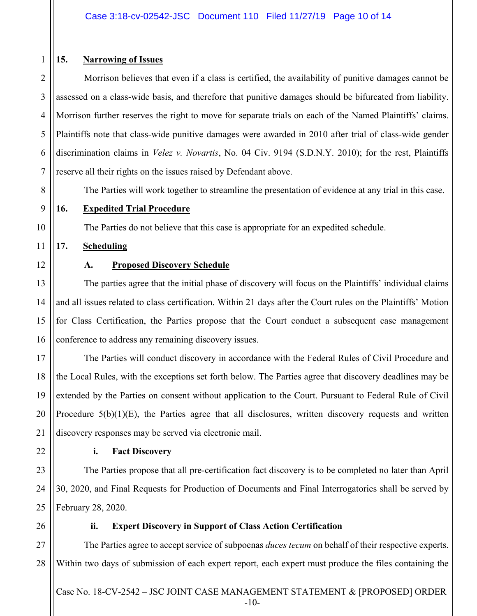## **15. Narrowing of Issues**

2 4 5 6 7 Morrison believes that even if a class is certified, the availability of punitive damages cannot be assessed on a class-wide basis, and therefore that punitive damages should be bifurcated from liability. Morrison further reserves the right to move for separate trials on each of the Named Plaintiffs' claims. Plaintiffs note that class-wide punitive damages were awarded in 2010 after trial of class-wide gender discrimination claims in *Velez v. Novartis*, No. 04 Civ. 9194 (S.D.N.Y. 2010); for the rest, Plaintiffs reserve all their rights on the issues raised by Defendant above.

The Parties will work together to streamline the presentation of evidence at any trial in this case.

9

10

11

8

1

3

#### **16. Expedited Trial Procedure**

The Parties do not believe that this case is appropriate for an expedited schedule.

## **17. Scheduling**

12

13

14

15

16

## **A. Proposed Discovery Schedule**

 The parties agree that the initial phase of discovery will focus on the Plaintiffs' individual claims and all issues related to class certification. Within 21 days after the Court rules on the Plaintiffs' Motion for Class Certification, the Parties propose that the Court conduct a subsequent case management conference to address any remaining discovery issues.

17 18 19 20 21 The Parties will conduct discovery in accordance with the Federal Rules of Civil Procedure and the Local Rules, with the exceptions set forth below. The Parties agree that discovery deadlines may be extended by the Parties on consent without application to the Court. Pursuant to Federal Rule of Civil Procedure 5(b)(1)(E), the Parties agree that all disclosures, written discovery requests and written discovery responses may be served via electronic mail.

22

## **i. Fact Discovery**

23 24 25 The Parties propose that all pre-certification fact discovery is to be completed no later than April 30, 2020, and Final Requests for Production of Documents and Final Interrogatories shall be served by February 28, 2020.

26

## **ii. Expert Discovery in Support of Class Action Certification**

27 28 The Parties agree to accept service of subpoenas *duces tecum* on behalf of their respective experts. Within two days of submission of each expert report, each expert must produce the files containing the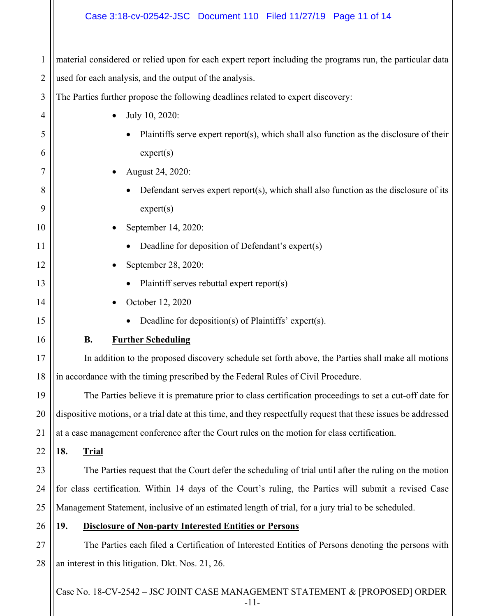#### Case 3:18-cv-02542-JSC Document 110 Filed 11/27/19 Page 11 of 14

1 2 material considered or relied upon for each expert report including the programs run, the particular data used for each analysis, and the output of the analysis.

3 The Parties further propose the following deadlines related to expert discovery:

| 4  | July 10, 2020:                                                                                                  |  |  |
|----|-----------------------------------------------------------------------------------------------------------------|--|--|
| 5  | Plaintiffs serve expert report(s), which shall also function as the disclosure of their                         |  |  |
| 6  | expert(s)                                                                                                       |  |  |
| 7  | August 24, 2020:                                                                                                |  |  |
| 8  | Defendant serves expert report(s), which shall also function as the disclosure of its                           |  |  |
| 9  | expert(s)                                                                                                       |  |  |
| 10 | September 14, 2020:                                                                                             |  |  |
| 11 | Deadline for deposition of Defendant's expert(s)                                                                |  |  |
| 12 | September 28, 2020:                                                                                             |  |  |
| 13 | Plaintiff serves rebuttal expert report(s)                                                                      |  |  |
| 14 | October 12, 2020                                                                                                |  |  |
| 15 | Deadline for deposition(s) of Plaintiffs' expert(s).                                                            |  |  |
| 16 | <b>B.</b><br><b>Further Scheduling</b>                                                                          |  |  |
| 17 | In addition to the proposed discovery schedule set forth above, the Parties shall make all motions              |  |  |
| 18 | in accordance with the timing prescribed by the Federal Rules of Civil Procedure.                               |  |  |
| 19 | The Parties believe it is premature prior to class certification proceedings to set a cut-off date for          |  |  |
| 20 | dispositive motions, or a trial date at this time, and they respectfully request that these issues be addressed |  |  |
| 21 | at a case management conference after the Court rules on the motion for class certification.                    |  |  |
| 22 | 18.<br><b>Trial</b>                                                                                             |  |  |
| 23 | The Parties request that the Court defer the scheduling of trial until after the ruling on the motion           |  |  |
| 24 | for class certification. Within 14 days of the Court's ruling, the Parties will submit a revised Case           |  |  |
| 25 | Management Statement, inclusive of an estimated length of trial, for a jury trial to be scheduled.              |  |  |
| 26 | 19.<br><b>Disclosure of Non-party Interested Entities or Persons</b>                                            |  |  |
| 27 | The Parties each filed a Certification of Interested Entities of Persons denoting the persons with              |  |  |
| 28 | an interest in this litigation. Dkt. Nos. 21, 26.                                                               |  |  |
|    |                                                                                                                 |  |  |

Case No. 18-CV-2542 – JSC JOINT CASE MANAGEMENT STATEMENT & [PROPOSED] ORDER -11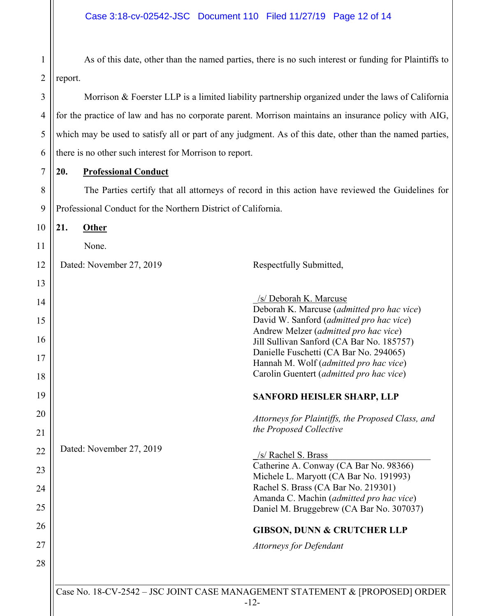2 As of this date, other than the named parties, there is no such interest or funding for Plaintiffs to report.

 Morrison & Foerster LLP is a limited liability partnership organized under the laws of California for the practice of law and has no corporate parent. Morrison maintains an insurance policy with AIG, which may be used to satisfy all or part of any judgment. As of this date, other than the named parties, there is no other such interest for Morrison to report.

**20. Professional Conduct** 

1

3

4

5

6

7

8 9 The Parties certify that all attorneys of record in this action have reviewed the Guidelines for Professional Conduct for the Northern District of California.

Case No. 18-CV-2542 – JSC JOINT CASE MANAGEMENT STATEMENT & [PROPOSED] ORDER 10 11 12 13 14 15 16 17 18 19 20 21 22 23 24 25 26 27 28 **21. Other**  None. Dated: November 27, 2019 Respectfully Submitted, \_/s/ Deborah K. Marcuse Deborah K. Marcuse (*admitted pro hac vice*) David W. Sanford (*admitted pro hac vice*) Andrew Melzer (*admitted pro hac vice*) Jill Sullivan Sanford (CA Bar No. 185757) Danielle Fuschetti (CA Bar No. 294065) Hannah M. Wolf (*admitted pro hac vice*) Carolin Guentert (*admitted pro hac vice*) **SANFORD HEISLER SHARP, LLP**  *Attorneys for Plaintiffs, the Proposed Class, and the Proposed Collective*  Dated: November 27, 2019 /s/ Rachel S. Brass Catherine A. Conway (CA Bar No. 98366) Michele L. Maryott (CA Bar No. 191993) Rachel S. Brass (CA Bar No. 219301) Amanda C. Machin (*admitted pro hac vice*) Daniel M. Bruggebrew (CA Bar No. 307037) **GIBSON, DUNN & CRUTCHER LLP**  *Attorneys for Defendant*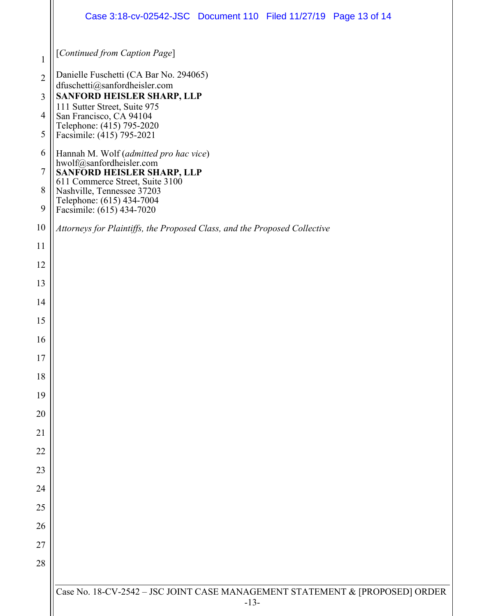|                | Case 3:18-cv-02542-JSC Document 110 Filed 11/27/19 Page 13 of 14                                                        |  |  |  |
|----------------|-------------------------------------------------------------------------------------------------------------------------|--|--|--|
| $\mathbf{1}$   | [Continued from Caption Page]                                                                                           |  |  |  |
| $\overline{2}$ | Danielle Fuschetti (CA Bar No. 294065)                                                                                  |  |  |  |
| 3              | dfuschetti@sanfordheisler.com<br>SANFORD HEISLER SHARP, LLP                                                             |  |  |  |
| $\overline{4}$ | 111 Sutter Street, Suite 975<br>San Francisco, CA 94104                                                                 |  |  |  |
| 5              | Telephone: (415) 795-2020<br>Facsimile: (415) 795-2021                                                                  |  |  |  |
| 6              | Hannah M. Wolf (admitted pro hac vice)                                                                                  |  |  |  |
| $\overline{7}$ | hwolf@sanfordheisler.com<br>SANFORD HEISLER SHARP, LLP                                                                  |  |  |  |
| 8<br>9         | 611 Commerce Street, Suite 3100<br>Nashville, Tennessee 37203<br>Telephone: (615) 434-7004<br>Facsimile: (615) 434-7020 |  |  |  |
| 10             | Attorneys for Plaintiffs, the Proposed Class, and the Proposed Collective                                               |  |  |  |
| 11             |                                                                                                                         |  |  |  |
| 12             |                                                                                                                         |  |  |  |
| 13             |                                                                                                                         |  |  |  |
| 14             |                                                                                                                         |  |  |  |
| 15             |                                                                                                                         |  |  |  |
| 16             |                                                                                                                         |  |  |  |
| 17             |                                                                                                                         |  |  |  |
| 18             |                                                                                                                         |  |  |  |
| 19             |                                                                                                                         |  |  |  |
| 20             |                                                                                                                         |  |  |  |
| 21             |                                                                                                                         |  |  |  |
| 22             |                                                                                                                         |  |  |  |
| 23             |                                                                                                                         |  |  |  |
| 24<br>25       |                                                                                                                         |  |  |  |
| 26             |                                                                                                                         |  |  |  |
| 27             |                                                                                                                         |  |  |  |
| 28             |                                                                                                                         |  |  |  |
|                |                                                                                                                         |  |  |  |
|                | Case No. 18-CV-2542 - JSC JOINT CASE MANAGEMENT STATEMENT & [PROPOSED] ORDER<br>$-13-$                                  |  |  |  |
|                |                                                                                                                         |  |  |  |